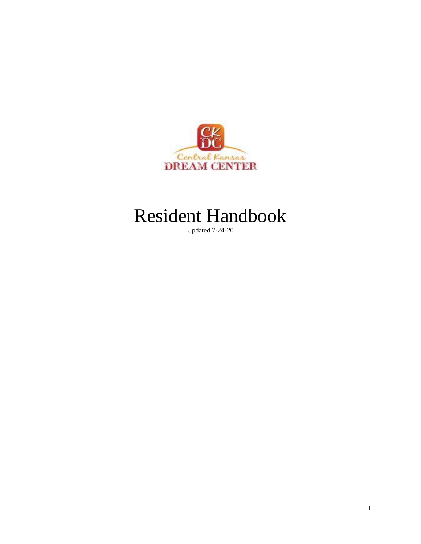

# Resident Handbook

Updated 7-24-20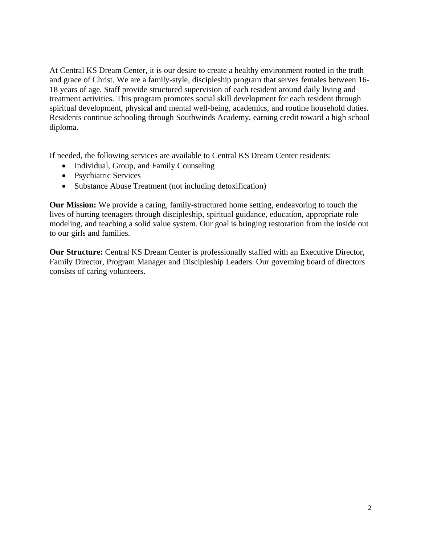At Central KS Dream Center, it is our desire to create a healthy environment rooted in the truth and grace of Christ. We are a family-style, discipleship program that serves females between 16- 18 years of age. Staff provide structured supervision of each resident around daily living and treatment activities. This program promotes social skill development for each resident through spiritual development, physical and mental well-being, academics, and routine household duties. Residents continue schooling through Southwinds Academy, earning credit toward a high school diploma.

If needed, the following services are available to Central KS Dream Center residents:

- Individual, Group, and Family Counseling
- Psychiatric Services
- Substance Abuse Treatment (not including detoxification)

**Our Mission:** We provide a caring, family-structured home setting, endeavoring to touch the lives of hurting teenagers through discipleship, spiritual guidance, education, appropriate role modeling, and teaching a solid value system. Our goal is bringing restoration from the inside out to our girls and families.

**Our Structure:** Central KS Dream Center is professionally staffed with an Executive Director, Family Director, Program Manager and Discipleship Leaders. Our governing board of directors consists of caring volunteers.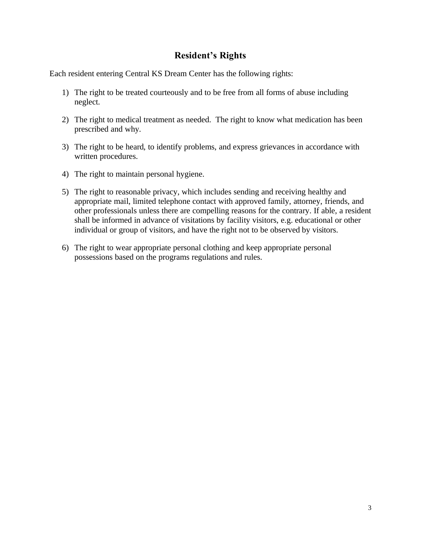## **Resident's Rights**

Each resident entering Central KS Dream Center has the following rights:

- 1) The right to be treated courteously and to be free from all forms of abuse including neglect.
- 2) The right to medical treatment as needed. The right to know what medication has been prescribed and why.
- 3) The right to be heard, to identify problems, and express grievances in accordance with written procedures.
- 4) The right to maintain personal hygiene.
- 5) The right to reasonable privacy, which includes sending and receiving healthy and appropriate mail, limited telephone contact with approved family, attorney, friends, and other professionals unless there are compelling reasons for the contrary. If able, a resident shall be informed in advance of visitations by facility visitors, e.g. educational or other individual or group of visitors, and have the right not to be observed by visitors.
- 6) The right to wear appropriate personal clothing and keep appropriate personal possessions based on the programs regulations and rules.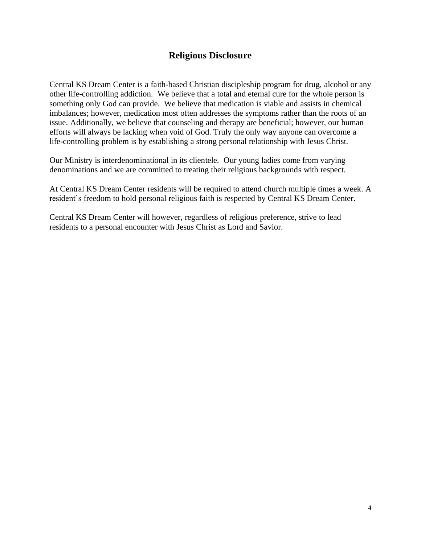# **Religious Disclosure**

Central KS Dream Center is a faith-based Christian discipleship program for drug, alcohol or any other life-controlling addiction. We believe that a total and eternal cure for the whole person is something only God can provide. We believe that medication is viable and assists in chemical imbalances; however, medication most often addresses the symptoms rather than the roots of an issue. Additionally, we believe that counseling and therapy are beneficial; however, our human efforts will always be lacking when void of God. Truly the only way anyone can overcome a life-controlling problem is by establishing a strong personal relationship with Jesus Christ.

Our Ministry is interdenominational in its clientele. Our young ladies come from varying denominations and we are committed to treating their religious backgrounds with respect.

At Central KS Dream Center residents will be required to attend church multiple times a week. A resident's freedom to hold personal religious faith is respected by Central KS Dream Center.

Central KS Dream Center will however, regardless of religious preference, strive to lead residents to a personal encounter with Jesus Christ as Lord and Savior.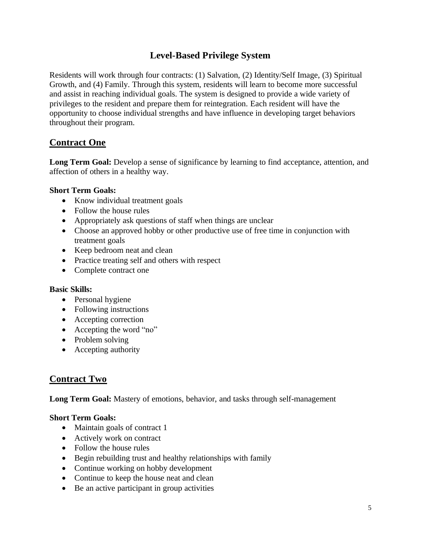# **Level-Based Privilege System**

Residents will work through four contracts: (1) Salvation, (2) Identity/Self Image, (3) Spiritual Growth, and (4) Family. Through this system, residents will learn to become more successful and assist in reaching individual goals. The system is designed to provide a wide variety of privileges to the resident and prepare them for reintegration. Each resident will have the opportunity to choose individual strengths and have influence in developing target behaviors throughout their program.

## **Contract One**

Long Term Goal: Develop a sense of significance by learning to find acceptance, attention, and affection of others in a healthy way.

#### **Short Term Goals:**

- Know individual treatment goals
- Follow the house rules
- Appropriately ask questions of staff when things are unclear
- Choose an approved hobby or other productive use of free time in conjunction with treatment goals
- Keep bedroom neat and clean
- Practice treating self and others with respect
- Complete contract one

#### **Basic Skills:**

- Personal hygiene
- Following instructions
- Accepting correction
- Accepting the word "no"
- Problem solving
- Accepting authority

## **Contract Two**

**Long Term Goal:** Mastery of emotions, behavior, and tasks through self-management

#### **Short Term Goals:**

- Maintain goals of contract 1
- Actively work on contract
- Follow the house rules
- Begin rebuilding trust and healthy relationships with family
- Continue working on hobby development
- Continue to keep the house neat and clean
- Be an active participant in group activities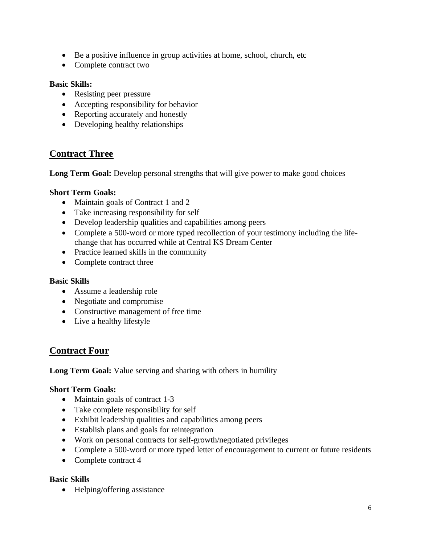- Be a positive influence in group activities at home, school, church, etc
- Complete contract two

#### **Basic Skills:**

- Resisting peer pressure
- Accepting responsibility for behavior
- Reporting accurately and honestly
- Developing healthy relationships

## **Contract Three**

Long Term Goal: Develop personal strengths that will give power to make good choices

#### **Short Term Goals:**

- Maintain goals of Contract 1 and 2
- Take increasing responsibility for self
- Develop leadership qualities and capabilities among peers
- Complete a 500-word or more typed recollection of your testimony including the lifechange that has occurred while at Central KS Dream Center
- Practice learned skills in the community
- Complete contract three

#### **Basic Skills**

- Assume a leadership role
- Negotiate and compromise
- Constructive management of free time
- Live a healthy lifestyle

## **Contract Four**

**Long Term Goal:** Value serving and sharing with others in humility

#### **Short Term Goals:**

- Maintain goals of contract 1-3
- Take complete responsibility for self
- Exhibit leadership qualities and capabilities among peers
- Establish plans and goals for reintegration
- Work on personal contracts for self-growth/negotiated privileges
- Complete a 500-word or more typed letter of encouragement to current or future residents
- Complete contract 4

#### **Basic Skills**

• Helping/offering assistance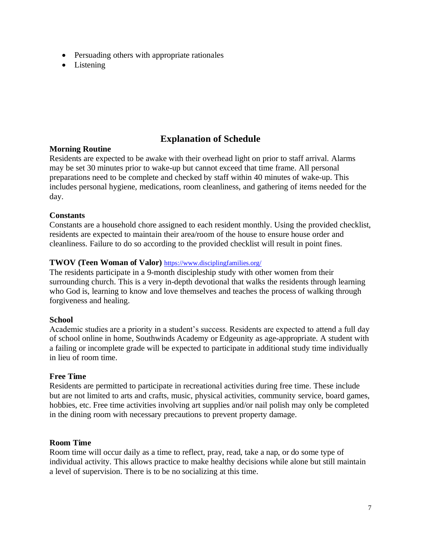- Persuading others with appropriate rationales
- Listening

# **Explanation of Schedule**

#### **Morning Routine**

Residents are expected to be awake with their overhead light on prior to staff arrival. Alarms may be set 30 minutes prior to wake-up but cannot exceed that time frame. All personal preparations need to be complete and checked by staff within 40 minutes of wake-up. This includes personal hygiene, medications, room cleanliness, and gathering of items needed for the day.

#### **Constants**

Constants are a household chore assigned to each resident monthly. Using the provided checklist, residents are expected to maintain their area/room of the house to ensure house order and cleanliness. Failure to do so according to the provided checklist will result in point fines.

#### **TWOV (Teen Woman of Valor)** <https://www.disciplingfamilies.org/>

The residents participate in a 9-month discipleship study with other women from their surrounding church. This is a very in-depth devotional that walks the residents through learning who God is, learning to know and love themselves and teaches the process of walking through forgiveness and healing.

#### **School**

Academic studies are a priority in a student's success. Residents are expected to attend a full day of school online in home, Southwinds Academy or Edgeunity as age-appropriate. A student with a failing or incomplete grade will be expected to participate in additional study time individually in lieu of room time.

#### **Free Time**

Residents are permitted to participate in recreational activities during free time. These include but are not limited to arts and crafts, music, physical activities, community service, board games, hobbies, etc. Free time activities involving art supplies and/or nail polish may only be completed in the dining room with necessary precautions to prevent property damage.

#### **Room Time**

Room time will occur daily as a time to reflect, pray, read, take a nap, or do some type of individual activity. This allows practice to make healthy decisions while alone but still maintain a level of supervision. There is to be no socializing at this time.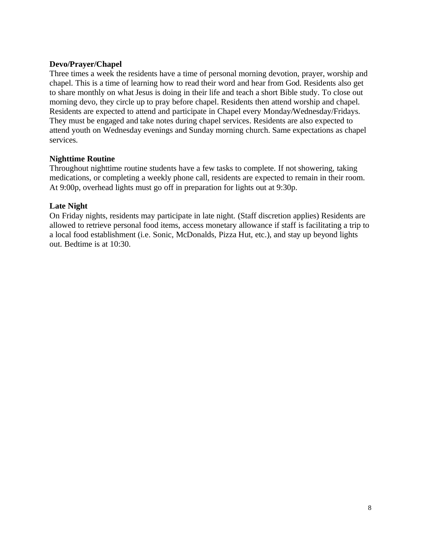#### **Devo/Prayer/Chapel**

Three times a week the residents have a time of personal morning devotion, prayer, worship and chapel. This is a time of learning how to read their word and hear from God. Residents also get to share monthly on what Jesus is doing in their life and teach a short Bible study. To close out morning devo, they circle up to pray before chapel. Residents then attend worship and chapel. Residents are expected to attend and participate in Chapel every Monday/Wednesday/Fridays. They must be engaged and take notes during chapel services. Residents are also expected to attend youth on Wednesday evenings and Sunday morning church. Same expectations as chapel services.

#### **Nighttime Routine**

Throughout nighttime routine students have a few tasks to complete. If not showering, taking medications, or completing a weekly phone call, residents are expected to remain in their room. At 9:00p, overhead lights must go off in preparation for lights out at 9:30p.

#### **Late Night**

On Friday nights, residents may participate in late night. (Staff discretion applies) Residents are allowed to retrieve personal food items, access monetary allowance if staff is facilitating a trip to a local food establishment (i.e. Sonic, McDonalds, Pizza Hut, etc.), and stay up beyond lights out. Bedtime is at 10:30.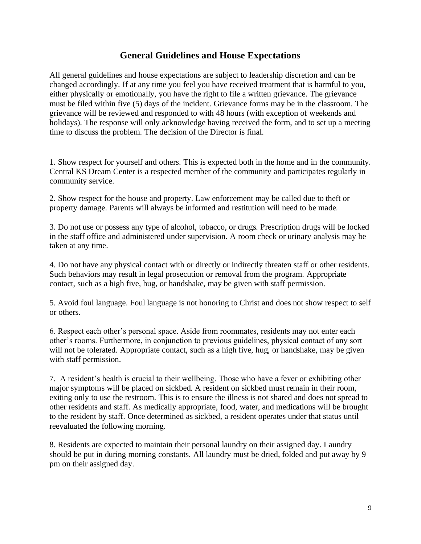# **General Guidelines and House Expectations**

All general guidelines and house expectations are subject to leadership discretion and can be changed accordingly. If at any time you feel you have received treatment that is harmful to you, either physically or emotionally, you have the right to file a written grievance. The grievance must be filed within five (5) days of the incident. Grievance forms may be in the classroom. The grievance will be reviewed and responded to with 48 hours (with exception of weekends and holidays). The response will only acknowledge having received the form, and to set up a meeting time to discuss the problem. The decision of the Director is final.

1. Show respect for yourself and others. This is expected both in the home and in the community. Central KS Dream Center is a respected member of the community and participates regularly in community service.

2. Show respect for the house and property. Law enforcement may be called due to theft or property damage. Parents will always be informed and restitution will need to be made.

3. Do not use or possess any type of alcohol, tobacco, or drugs. Prescription drugs will be locked in the staff office and administered under supervision. A room check or urinary analysis may be taken at any time.

4. Do not have any physical contact with or directly or indirectly threaten staff or other residents. Such behaviors may result in legal prosecution or removal from the program. Appropriate contact, such as a high five, hug, or handshake, may be given with staff permission.

5. Avoid foul language. Foul language is not honoring to Christ and does not show respect to self or others.

6. Respect each other's personal space. Aside from roommates, residents may not enter each other's rooms. Furthermore, in conjunction to previous guidelines, physical contact of any sort will not be tolerated. Appropriate contact, such as a high five, hug, or handshake, may be given with staff permission.

7. A resident's health is crucial to their wellbeing. Those who have a fever or exhibiting other major symptoms will be placed on sickbed. A resident on sickbed must remain in their room, exiting only to use the restroom. This is to ensure the illness is not shared and does not spread to other residents and staff. As medically appropriate, food, water, and medications will be brought to the resident by staff. Once determined as sickbed, a resident operates under that status until reevaluated the following morning.

8. Residents are expected to maintain their personal laundry on their assigned day. Laundry should be put in during morning constants. All laundry must be dried, folded and put away by 9 pm on their assigned day.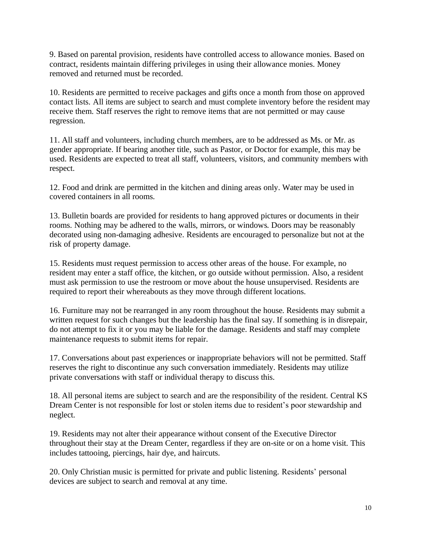9. Based on parental provision, residents have controlled access to allowance monies. Based on contract, residents maintain differing privileges in using their allowance monies. Money removed and returned must be recorded.

10. Residents are permitted to receive packages and gifts once a month from those on approved contact lists. All items are subject to search and must complete inventory before the resident may receive them. Staff reserves the right to remove items that are not permitted or may cause regression.

11. All staff and volunteers, including church members, are to be addressed as Ms. or Mr. as gender appropriate. If bearing another title, such as Pastor, or Doctor for example, this may be used. Residents are expected to treat all staff, volunteers, visitors, and community members with respect.

12. Food and drink are permitted in the kitchen and dining areas only. Water may be used in covered containers in all rooms.

13. Bulletin boards are provided for residents to hang approved pictures or documents in their rooms. Nothing may be adhered to the walls, mirrors, or windows. Doors may be reasonably decorated using non-damaging adhesive. Residents are encouraged to personalize but not at the risk of property damage.

15. Residents must request permission to access other areas of the house. For example, no resident may enter a staff office, the kitchen, or go outside without permission. Also, a resident must ask permission to use the restroom or move about the house unsupervised. Residents are required to report their whereabouts as they move through different locations.

16. Furniture may not be rearranged in any room throughout the house. Residents may submit a written request for such changes but the leadership has the final say. If something is in disrepair, do not attempt to fix it or you may be liable for the damage. Residents and staff may complete maintenance requests to submit items for repair.

17. Conversations about past experiences or inappropriate behaviors will not be permitted. Staff reserves the right to discontinue any such conversation immediately. Residents may utilize private conversations with staff or individual therapy to discuss this.

18. All personal items are subject to search and are the responsibility of the resident. Central KS Dream Center is not responsible for lost or stolen items due to resident's poor stewardship and neglect.

19. Residents may not alter their appearance without consent of the Executive Director throughout their stay at the Dream Center, regardless if they are on-site or on a home visit. This includes tattooing, piercings, hair dye, and haircuts.

20. Only Christian music is permitted for private and public listening. Residents' personal devices are subject to search and removal at any time.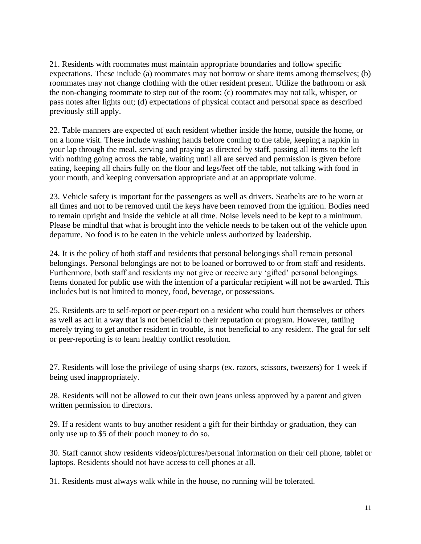21. Residents with roommates must maintain appropriate boundaries and follow specific expectations. These include (a) roommates may not borrow or share items among themselves; (b) roommates may not change clothing with the other resident present. Utilize the bathroom or ask the non-changing roommate to step out of the room; (c) roommates may not talk, whisper, or pass notes after lights out; (d) expectations of physical contact and personal space as described previously still apply.

22. Table manners are expected of each resident whether inside the home, outside the home, or on a home visit. These include washing hands before coming to the table, keeping a napkin in your lap through the meal, serving and praying as directed by staff, passing all items to the left with nothing going across the table, waiting until all are served and permission is given before eating, keeping all chairs fully on the floor and legs/feet off the table, not talking with food in your mouth, and keeping conversation appropriate and at an appropriate volume.

23. Vehicle safety is important for the passengers as well as drivers. Seatbelts are to be worn at all times and not to be removed until the keys have been removed from the ignition. Bodies need to remain upright and inside the vehicle at all time. Noise levels need to be kept to a minimum. Please be mindful that what is brought into the vehicle needs to be taken out of the vehicle upon departure. No food is to be eaten in the vehicle unless authorized by leadership.

24. It is the policy of both staff and residents that personal belongings shall remain personal belongings. Personal belongings are not to be loaned or borrowed to or from staff and residents. Furthermore, both staff and residents my not give or receive any 'gifted' personal belongings. Items donated for public use with the intention of a particular recipient will not be awarded. This includes but is not limited to money, food, beverage, or possessions.

25. Residents are to self-report or peer-report on a resident who could hurt themselves or others as well as act in a way that is not beneficial to their reputation or program. However, tattling merely trying to get another resident in trouble, is not beneficial to any resident. The goal for self or peer-reporting is to learn healthy conflict resolution.

27. Residents will lose the privilege of using sharps (ex. razors, scissors, tweezers) for 1 week if being used inappropriately.

28. Residents will not be allowed to cut their own jeans unless approved by a parent and given written permission to directors.

29. If a resident wants to buy another resident a gift for their birthday or graduation, they can only use up to \$5 of their pouch money to do so.

30. Staff cannot show residents videos/pictures/personal information on their cell phone, tablet or laptops. Residents should not have access to cell phones at all.

31. Residents must always walk while in the house, no running will be tolerated.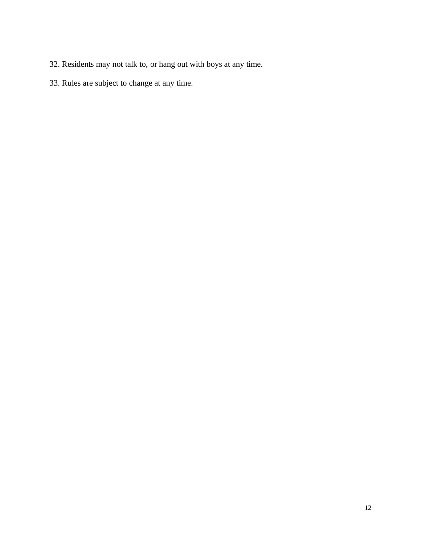- 32. Residents may not talk to, or hang out with boys at any time.
- 33. Rules are subject to change at any time.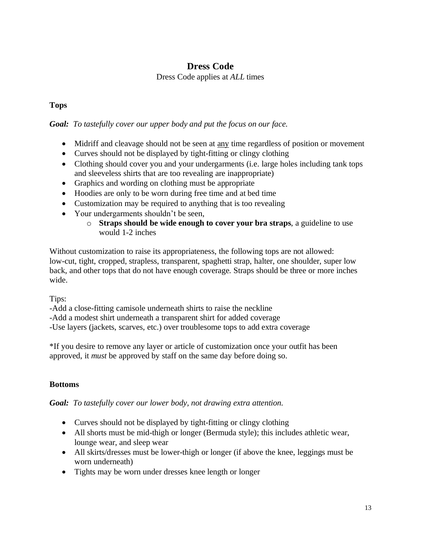## **Dress Code**

#### Dress Code applies at *ALL* times

## **Tops**

#### *Goal: To tastefully cover our upper body and put the focus on our face.*

- Midriff and cleavage should not be seen at <u>any</u> time regardless of position or movement
- Curves should not be displayed by tight-fitting or clingy clothing
- Clothing should cover you and your undergarments (i.e. large holes including tank tops and sleeveless shirts that are too revealing are inappropriate)
- Graphics and wording on clothing must be appropriate
- Hoodies are only to be worn during free time and at bed time
- Customization may be required to anything that is too revealing
- Your undergarments shouldn't be seen,
	- o **Straps should be wide enough to cover your bra straps**, a guideline to use would 1-2 inches

Without customization to raise its appropriateness, the following tops are not allowed: low-cut, tight, cropped, strapless, transparent, spaghetti strap, halter, one shoulder, super low back, and other tops that do not have enough coverage. Straps should be three or more inches wide.

Tips:

-Add a close-fitting camisole underneath shirts to raise the neckline

-Add a modest shirt underneath a transparent shirt for added coverage

-Use layers (jackets, scarves, etc.) over troublesome tops to add extra coverage

\*If you desire to remove any layer or article of customization once your outfit has been approved, it *must* be approved by staff on the same day before doing so.

#### **Bottoms**

*Goal: To tastefully cover our lower body, not drawing extra attention.*

- Curves should not be displayed by tight-fitting or clingy clothing
- All shorts must be mid-thigh or longer (Bermuda style); this includes athletic wear, lounge wear, and sleep wear
- All skirts/dresses must be lower-thigh or longer (if above the knee, leggings must be worn underneath)
- Tights may be worn under dresses knee length or longer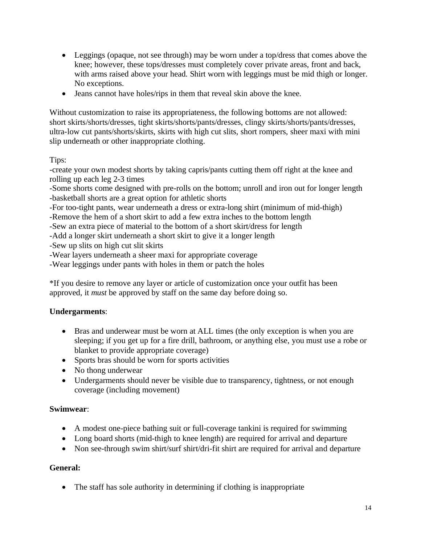- Leggings (opaque, not see through) may be worn under a top/dress that comes above the knee; however, these tops/dresses must completely cover private areas, front and back, with arms raised above your head. Shirt worn with leggings must be mid thigh or longer. No exceptions.
- Jeans cannot have holes/rips in them that reveal skin above the knee.

Without customization to raise its appropriateness, the following bottoms are not allowed: short skirts/shorts/dresses, tight skirts/shorts/pants/dresses, clingy skirts/shorts/pants/dresses, ultra-low cut pants/shorts/skirts, skirts with high cut slits, short rompers, sheer maxi with mini slip underneath or other inappropriate clothing.

Tips:

-create your own modest shorts by taking capris/pants cutting them off right at the knee and rolling up each leg 2-3 times

-Some shorts come designed with pre-rolls on the bottom; unroll and iron out for longer length -basketball shorts are a great option for athletic shorts

-For too-tight pants, wear underneath a dress or extra-long shirt (minimum of mid-thigh)

-Remove the hem of a short skirt to add a few extra inches to the bottom length

-Sew an extra piece of material to the bottom of a short skirt/dress for length

-Add a longer skirt underneath a short skirt to give it a longer length

-Sew up slits on high cut slit skirts

-Wear layers underneath a sheer maxi for appropriate coverage

-Wear leggings under pants with holes in them or patch the holes

\*If you desire to remove any layer or article of customization once your outfit has been approved, it *must* be approved by staff on the same day before doing so.

#### **Undergarments**:

- Bras and underwear must be worn at ALL times (the only exception is when you are sleeping; if you get up for a fire drill, bathroom, or anything else, you must use a robe or blanket to provide appropriate coverage)
- Sports bras should be worn for sports activities
- No thong underwear
- Undergarments should never be visible due to transparency, tightness, or not enough coverage (including movement)

#### **Swimwear**:

- A modest one-piece bathing suit or full-coverage tankini is required for swimming
- Long board shorts (mid-thigh to knee length) are required for arrival and departure
- Non see-through swim shirt/surf shirt/dri-fit shirt are required for arrival and departure

#### **General:**

• The staff has sole authority in determining if clothing is inappropriate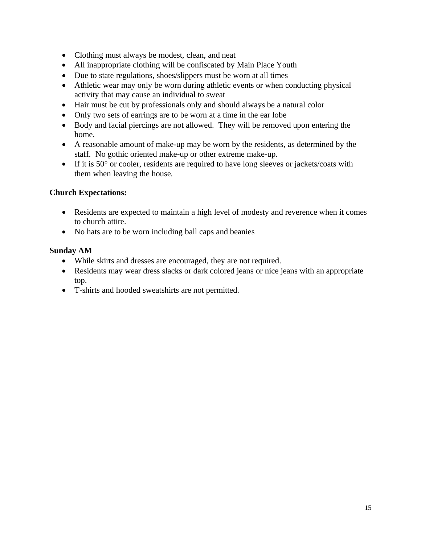- Clothing must always be modest, clean, and neat
- All inappropriate clothing will be confiscated by Main Place Youth
- Due to state regulations, shoes/slippers must be worn at all times
- Athletic wear may only be worn during athletic events or when conducting physical activity that may cause an individual to sweat
- Hair must be cut by professionals only and should always be a natural color
- Only two sets of earrings are to be worn at a time in the ear lobe
- Body and facial piercings are not allowed. They will be removed upon entering the home.
- A reasonable amount of make-up may be worn by the residents, as determined by the staff. No gothic oriented make-up or other extreme make-up.
- If it is 50° or cooler, residents are required to have long sleeves or jackets/coats with them when leaving the house.

## **Church Expectations:**

- Residents are expected to maintain a high level of modesty and reverence when it comes to church attire.
- No hats are to be worn including ball caps and beanies

## **Sunday AM**

- While skirts and dresses are encouraged, they are not required.
- Residents may wear dress slacks or dark colored jeans or nice jeans with an appropriate top.
- T-shirts and hooded sweatshirts are not permitted.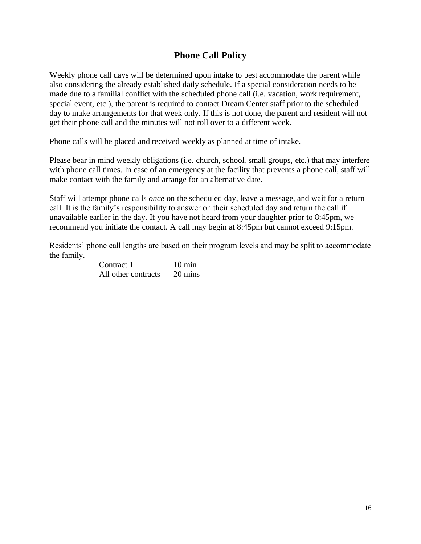# **Phone Call Policy**

Weekly phone call days will be determined upon intake to best accommodate the parent while also considering the already established daily schedule. If a special consideration needs to be made due to a familial conflict with the scheduled phone call (i.e. vacation, work requirement, special event, etc.), the parent is required to contact Dream Center staff prior to the scheduled day to make arrangements for that week only. If this is not done, the parent and resident will not get their phone call and the minutes will not roll over to a different week.

Phone calls will be placed and received weekly as planned at time of intake.

Please bear in mind weekly obligations (i.e. church, school, small groups, etc.) that may interfere with phone call times. In case of an emergency at the facility that prevents a phone call, staff will make contact with the family and arrange for an alternative date.

Staff will attempt phone calls *once* on the scheduled day, leave a message, and wait for a return call. It is the family's responsibility to answer on their scheduled day and return the call if unavailable earlier in the day. If you have not heard from your daughter prior to 8:45pm, we recommend you initiate the contact. A call may begin at 8:45pm but cannot exceed 9:15pm.

Residents' phone call lengths are based on their program levels and may be split to accommodate the family.

| Contract 1          | $10 \text{ min}$ |
|---------------------|------------------|
| All other contracts | 20 mins          |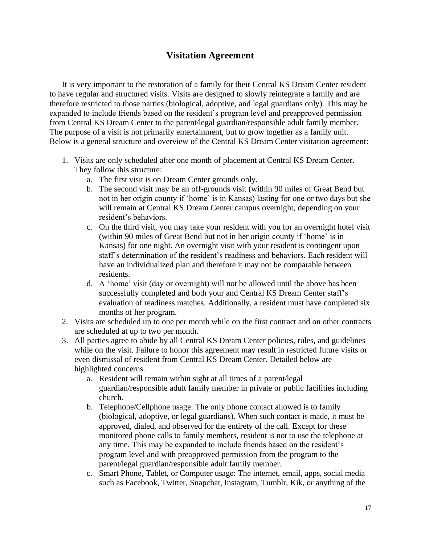# **Visitation Agreement**

It is very important to the restoration of a family for their Central KS Dream Center resident to have regular and structured visits. Visits are designed to slowly reintegrate a family and are therefore restricted to those parties (biological, adoptive, and legal guardians only). This may be expanded to include friends based on the resident's program level and preapproved permission from Central KS Dream Center to the parent/legal guardian/responsible adult family member. The purpose of a visit is not primarily entertainment, but to grow together as a family unit. Below is a general structure and overview of the Central KS Dream Center visitation agreement:

- 1. Visits are only scheduled after one month of placement at Central KS Dream Center. They follow this structure:
	- a. The first visit is on Dream Center grounds only.
	- b. The second visit may be an off-grounds visit (within 90 miles of Great Bend but not in her origin county if 'home' is in Kansas) lasting for one or two days but she will remain at Central KS Dream Center campus overnight, depending on your resident's behaviors.
	- c. On the third visit, you may take your resident with you for an overnight hotel visit (within 90 miles of Great Bend but not in her origin county if 'home' is in Kansas) for one night. An overnight visit with your resident is contingent upon staff's determination of the resident's readiness and behaviors. Each resident will have an individualized plan and therefore it may not be comparable between residents.
	- d. A 'home' visit (day or overnight) will not be allowed until the above has been successfully completed and both your and Central KS Dream Center staff's evaluation of readiness matches. Additionally, a resident must have completed six months of her program.
- 2. Visits are scheduled up to one per month while on the first contract and on other contracts are scheduled at up to two per month.
- 3. All parties agree to abide by all Central KS Dream Center policies, rules, and guidelines while on the visit. Failure to honor this agreement may result in restricted future visits or even dismissal of resident from Central KS Dream Center. Detailed below are highlighted concerns.
	- a. Resident will remain within sight at all times of a parent/legal guardian/responsible adult family member in private or public facilities including church.
	- b. Telephone/Cellphone usage: The only phone contact allowed is to family (biological, adoptive, or legal guardians). When such contact is made, it must be approved, dialed, and observed for the entirety of the call. Except for these monitored phone calls to family members, resident is not to use the telephone at any time. This may be expanded to include friends based on the resident's program level and with preapproved permission from the program to the parent/legal guardian/responsible adult family member.
	- c. Smart Phone, Tablet, or Computer usage: The internet, email, apps, social media such as Facebook, Twitter, Snapchat, Instagram, Tumblr, Kik, or anything of the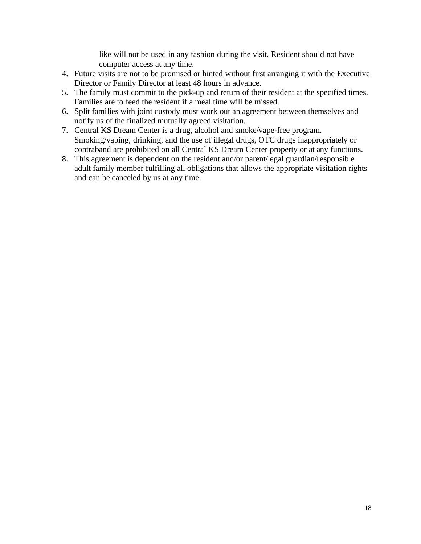like will not be used in any fashion during the visit. Resident should not have computer access at any time.

- 4. Future visits are not to be promised or hinted without first arranging it with the Executive Director or Family Director at least 48 hours in advance.
- 5. The family must commit to the pick-up and return of their resident at the specified times. Families are to feed the resident if a meal time will be missed.
- 6. Split families with joint custody must work out an agreement between themselves and notify us of the finalized mutually agreed visitation.
- 7. Central KS Dream Center is a drug, alcohol and smoke/vape-free program. Smoking/vaping, drinking, and the use of illegal drugs, OTC drugs inappropriately or contraband are prohibited on all Central KS Dream Center property or at any functions.
- 8. This agreement is dependent on the resident and/or parent/legal guardian/responsible adult family member fulfilling all obligations that allows the appropriate visitation rights and can be canceled by us at any time.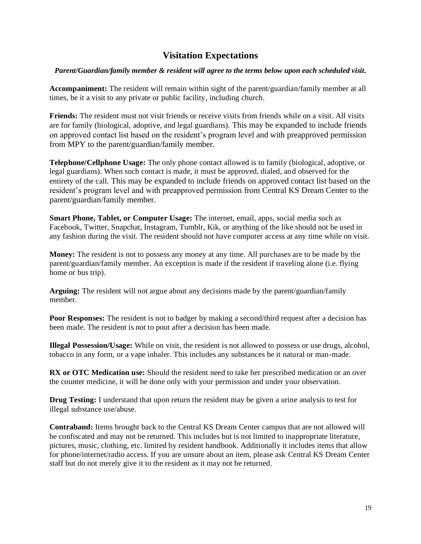# **Visitation Expectations**

#### *Parent/Guardian/family member & resident will agree to the terms below upon each scheduled visit.*

**Accompaniment:** The resident will remain within sight of the parent/guardian/family member at all times, be it a visit to any private or public facility, including church.

**Friends:** The resident must not visit friends or receive visits from friends while on a visit. All visits are for family (biological, adoptive, and legal guardians). This may be expanded to include friends on approved contact list based on the resident's program level and with preapproved permission from MPY to the parent/guardian/family member.

**Telephone/Cellphone Usage:** The only phone contact allowed is to family (biological, adoptive, or legal guardians). When such contact is made, it must be approved, dialed, and observed for the entirety of the call. This may be expanded to include friends on approved contact list based on the resident's program level and with preapproved permission from Central KS Dream Center to the parent/guardian/family member.

**Smart Phone, Tablet, or Computer Usage:** The internet, email, apps, social media such as Facebook, Twitter, Snapchat, Instagram, Tumblr, Kik, or anything of the like should not be used in any fashion during the visit. The resident should not have computer access at any time while on visit.

**Money:** The resident is not to possess any money at any time. All purchases are to be made by the parent/guardian/family member. An exception is made if the resident if traveling alone (i.e. flying home or bus trip).

**Arguing:** The resident will not argue about any decisions made by the parent/guardian/family member.

**Poor Responses:** The resident is not to badger by making a second/third request after a decision has been made. The resident is not to pout after a decision has been made.

**Illegal Possession/Usage:** While on visit, the resident is not allowed to possess or use drugs, alcohol, tobacco in any form, or a vape inhaler. This includes any substances be it natural or man-made.

**RX** or OTC Medication use: Should the resident need to take her prescribed medication or an over the counter medicine, it will be done only with your permission and under your observation.

**Drug Testing:** I understand that upon return the resident may be given a urine analysis to test for illegal substance use/abuse.

**Contraband:** Items brought back to the Central KS Dream Center campus that are not allowed will be confiscated and may not be returned. This includes but is not limited to inappropriate literature, pictures, music, clothing, etc. limited by resident handbook. Additionally it includes items that allow for phone/internet/radio access. If you are unsure about an item, please ask Central KS Dream Center staff but do not merely give it to the resident as it may not be returned.